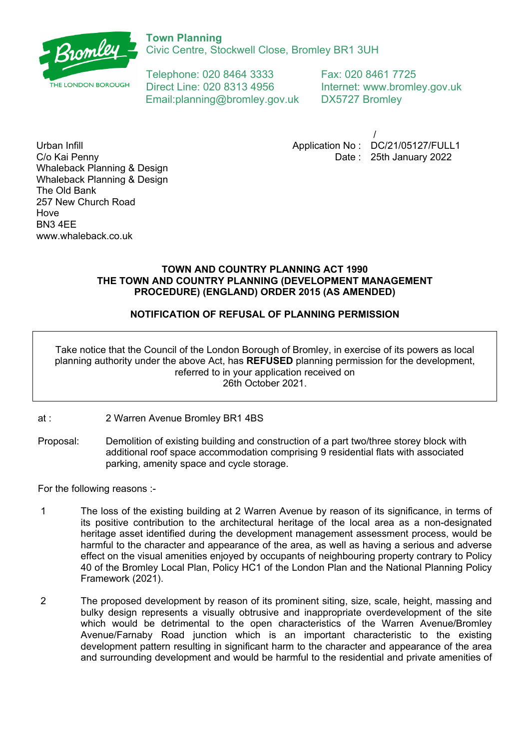

Civic Centre, Stockwell Close, Bromley BR1 3UH

Telephone: 020 8464 3333 Fax: 020 8461 7725 Direct Line: 020 8313 4956 Internet: www.bromley.gov.uk Email:planning@bromley.gov.uk DX5727 Bromley

/ Application No : DC/21/05127/FULL1 Date : 25th January 2022

Urban Infill C/o Kai Penny Whaleback Planning & Design Whaleback Planning & Design The Old Bank 257 New Church Road Hove BN3 4EE www.whaleback.co.uk

# **TOWN AND COUNTRY PLANNING ACT 1990 THE TOWN AND COUNTRY PLANNING (DEVELOPMENT MANAGEMENT PROCEDURE) (ENGLAND) ORDER 2015 (AS AMENDED)**

# **NOTIFICATION OF REFUSAL OF PLANNING PERMISSION**

Take notice that the Council of the London Borough of Bromley, in exercise of its powers as local planning authority under the above Act, has **REFUSED** planning permission for the development, referred to in your application received on 26th October 2021.

- at : 2 Warren Avenue Bromley BR1 4BS
- Proposal: Demolition of existing building and construction of a part two/three storey block with additional roof space accommodation comprising 9 residential flats with associated parking, amenity space and cycle storage.

For the following reasons :-

- 1 The loss of the existing building at 2 Warren Avenue by reason of its significance, in terms of its positive contribution to the architectural heritage of the local area as a non-designated heritage asset identified during the development management assessment process, would be harmful to the character and appearance of the area, as well as having a serious and adverse effect on the visual amenities enjoyed by occupants of neighbouring property contrary to Policy 40 of the Bromley Local Plan, Policy HC1 of the London Plan and the National Planning Policy Framework (2021).
- 2 The proposed development by reason of its prominent siting, size, scale, height, massing and bulky design represents a visually obtrusive and inappropriate overdevelopment of the site which would be detrimental to the open characteristics of the Warren Avenue/Bromley Avenue/Farnaby Road junction which is an important characteristic to the existing development pattern resulting in significant harm to the character and appearance of the area and surrounding development and would be harmful to the residential and private amenities of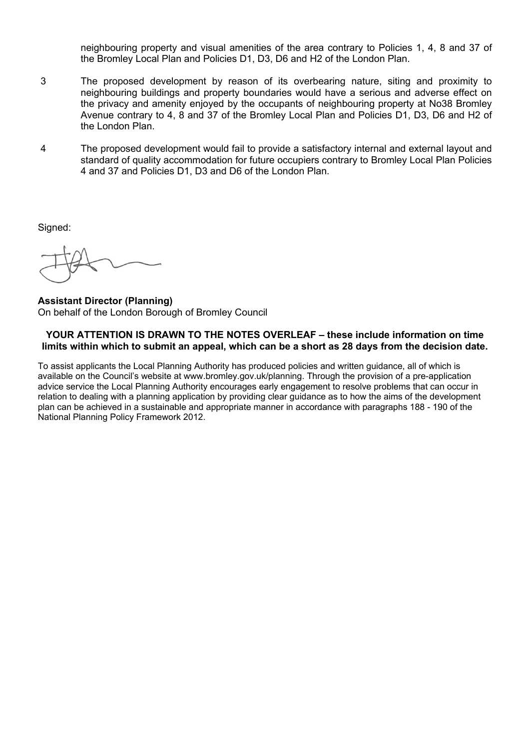neighbouring property and visual amenities of the area contrary to Policies 1, 4, 8 and 37 of the Bromley Local Plan and Policies D1, D3, D6 and H2 of the London Plan.

- 3 The proposed development by reason of its overbearing nature, siting and proximity to neighbouring buildings and property boundaries would have a serious and adverse effect on the privacy and amenity enjoyed by the occupants of neighbouring property at No38 Bromley Avenue contrary to 4, 8 and 37 of the Bromley Local Plan and Policies D1, D3, D6 and H2 of the London Plan.
- 4 The proposed development would fail to provide a satisfactory internal and external layout and standard of quality accommodation for future occupiers contrary to Bromley Local Plan Policies 4 and 37 and Policies D1, D3 and D6 of the London Plan.

Signed:

**Assistant Director (Planning)** On behalf of the London Borough of Bromley Council

## **YOUR ATTENTION IS DRAWN TO THE NOTES OVERLEAF – these include information on time** limits within which to submit an appeal, which can be a short as 28 days from the decision date.

To assist applicants the Local Planning Authority has produced policies and written guidance, all of which is available on the Council's website at www.bromley.gov.uk/planning. Through the provision of a pre-application advice service the Local Planning Authority encourages early engagement to resolve problems that can occur in relation to dealing with a planning application by providing clear guidance as to how the aims of the development plan can be achieved in a sustainable and appropriate manner in accordance with paragraphs 188 - 190 of the National Planning Policy Framework 2012.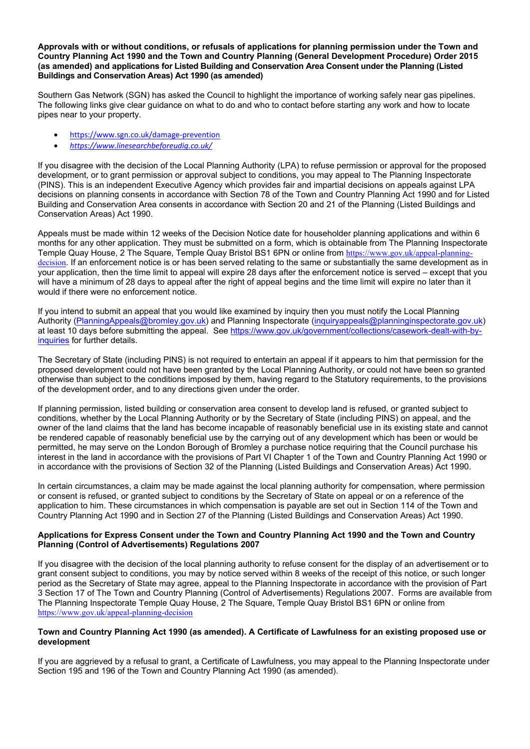**Approvals with or without conditions, or refusals of applications for planning permission under the Town and Country Planning Act 1990 and the Town and Country Planning (General Development Procedure) Order 2015 (as amended) and applications for Listed Building and Conservation Area Consent under the Planning (Listed Buildings and Conservation Areas) Act 1990 (as amended)**

Southern Gas Network (SGN) has asked the Council to highlight the importance of working safely near gas pipelines. The following links give clear guidance on what to do and who to contact before starting any work and how to locate pipes near to your property.

- [https://www.sgn.co.uk/damage-prevention](https://gbr01.safelinks.protection.outlook.com/?url=https%3A%2F%2Fwww.sgn.co.uk%2Fdamage-prevention&data=04%7C01%7CJake.Hamilton%40bromley.gov.uk%7C5870d87181d6400e3cf308d945291b06%7C8cc3d50b245a4639bab48b879ac9838c%7C0%7C0%7C637616865112347381%7CUnknown%7CTWFpbGZsb3d8eyJWIjoiMC4wLjAwMDAiLCJQIjoiV2luMzIiLCJBTiI6Ik1haWwiLCJXVCI6Mn0%3D%7C1000&sdata=Xz1JK0PzwIA3naWZ1avc1TZ%2F1UKs6UjnY0RDDZ6vmpw%3D&reserved=0)
- *[https://www.linesearchbeforeudig.co.uk/](https://gbr01.safelinks.protection.outlook.com/?url=https%3A%2F%2Fwww.linesearchbeforeudig.co.uk%2F&data=04%7C01%7CJake.Hamilton%40bromley.gov.uk%7C5870d87181d6400e3cf308d945291b06%7C8cc3d50b245a4639bab48b879ac9838c%7C0%7C0%7C637616865112347381%7CUnknown%7CTWFpbGZsb3d8eyJWIjoiMC4wLjAwMDAiLCJQIjoiV2luMzIiLCJBTiI6Ik1haWwiLCJXVCI6Mn0%3D%7C1000&sdata=U1E9IdzfRzKGdn%2Fq2cn4L0rpKPs0RMdks5sWxABmmpo%3D&reserved=0)*

If you disagree with the decision of the Local Planning Authority (LPA) to refuse permission or approval for the proposed development, or to grant permission or approval subject to conditions, you may appeal to The Planning Inspectorate (PINS). This is an independent Executive Agency which provides fair and impartial decisions on appeals against LPA decisions on planning consents in accordance with Section 78 of the Town and Country Planning Act 1990 and for Listed Building and Conservation Area consents in accordance with Section 20 and 21 of the Planning (Listed Buildings and Conservation Areas) Act 1990.

Appeals must be made within 12 weeks of the Decision Notice date for householder planning applications and within 6 months for any other application. They must be submitted on a form, which is obtainable from The Planning Inspectorate Temple Quay House, 2 The Square, Temple Quay Bristol BS1 6PN or online from [https://www.gov.uk/appeal-planning](https://www.gov.uk/appeal-planning-decision)[decision](https://www.gov.uk/appeal-planning-decision). If an enforcement notice is or has been served relating to the same or substantially the same development as in your application, then the time limit to appeal will expire 28 days after the enforcement notice is served – except that you will have a minimum of 28 days to appeal after the right of appeal begins and the time limit will expire no later than it would if there were no enforcement notice.

If you intend to submit an appeal that you would like examined by inquiry then you must notify the Local Planning Authority ([PlanningAppeals@bromley.gov.uk](mailto:PlanningAppeals@bromley.gov.uk)) and Planning Inspectorate [\(inquiryappeals@planninginspectorate.gov.uk](mailto:inquiryappeals@planninginspectorate.gov.uk)) at least 10 days before submitting the appeal. See [https://www.gov.uk/government/collections/casework-dealt-with-by](https://www.gov.uk/government/collections/casework-dealt-with-by-inquiries)[inquiries](https://www.gov.uk/government/collections/casework-dealt-with-by-inquiries) for further details.

The Secretary of State (including PINS) is not required to entertain an appeal if it appears to him that permission for the proposed development could not have been granted by the Local Planning Authority, or could not have been so granted otherwise than subject to the conditions imposed by them, having regard to the Statutory requirements, to the provisions of the development order, and to any directions given under the order.

If planning permission, listed building or conservation area consent to develop land is refused, or granted subject to conditions, whether by the Local Planning Authority or by the Secretary of State (including PINS) on appeal, and the owner of the land claims that the land has become incapable of reasonably beneficial use in its existing state and cannot be rendered capable of reasonably beneficial use by the carrying out of any development which has been or would be permitted, he may serve on the London Borough of Bromley a purchase notice requiring that the Council purchase his interest in the land in accordance with the provisions of Part VI Chapter 1 of the Town and Country Planning Act 1990 or in accordance with the provisions of Section 32 of the Planning (Listed Buildings and Conservation Areas) Act 1990.

In certain circumstances, a claim may be made against the local planning authority for compensation, where permission or consent is refused, or granted subject to conditions by the Secretary of State on appeal or on a reference of the application to him. These circumstances in which compensation is payable are set out in Section 114 of the Town and Country Planning Act 1990 and in Section 27 of the Planning (Listed Buildings and Conservation Areas) Act 1990.

#### **Applications for Express Consent under the Town and Country Planning Act 1990 and the Town and Country Planning (Control of Advertisements) Regulations 2007**

If you disagree with the decision of the local planning authority to refuse consent for the display of an advertisement or to grant consent subject to conditions, you may by notice served within 8 weeks of the receipt of this notice, or such longer period as the Secretary of State may agree, appeal to the Planning Inspectorate in accordance with the provision of Part 3 Section 17 of The Town and Country Planning (Control of Advertisements) Regulations 2007. Forms are available from The Planning Inspectorate Temple Quay House, 2 The Square, Temple Quay Bristol BS1 6PN or online from <https://www.gov.uk/appeal-planning-decision>

#### Town and Country Planning Act 1990 (as amended). A Certificate of Lawfulness for an existing proposed use or **development**

If you are aggrieved by a refusal to grant, a Certificate of Lawfulness, you may appeal to the Planning Inspectorate under Section 195 and 196 of the Town and Country Planning Act 1990 (as amended).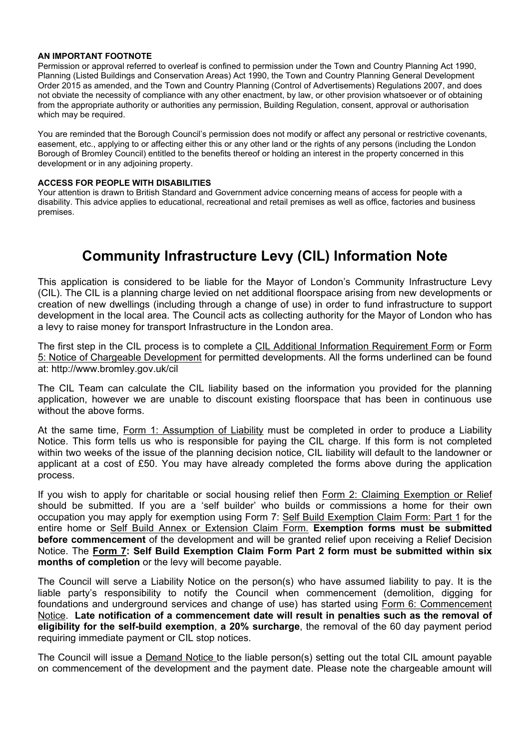#### **AN IMPORTANT FOOTNOTE**

Permission or approval referred to overleaf is confined to permission under the Town and Country Planning Act 1990, Planning (Listed Buildings and Conservation Areas) Act 1990, the Town and Country Planning General Development Order 2015 as amended, and the Town and Country Planning (Control of Advertisements) Regulations 2007, and does not obviate the necessity of compliance with any other enactment, by law, or other provision whatsoever or of obtaining from the appropriate authority or authorities any permission, Building Regulation, consent, approval or authorisation which may be required.

You are reminded that the Borough Council's permission does not modify or affect any personal or restrictive covenants, easement, etc., applying to or affecting either this or any other land or the rights of any persons (including the London Borough of Bromley Council) entitled to the benefits thereof or holding an interest in the property concerned in this development or in any adjoining property.

### **ACCESS FOR PEOPLE WITH DISABILITIES**

Your attention is drawn to British Standard and Government advice concerning means of access for people with a disability. This advice applies to educational, recreational and retail premises as well as office, factories and business premises.

# **Community Infrastructure Levy (CIL) Information Note**

This application is considered to be liable for the Mayor of London's Community Infrastructure Levy (CIL). The CIL is a planning charge levied on net additional floorspace arising from new developments or creation of new dwellings (including through a change of use) in order to fund infrastructure to support development in the local area. The Council acts as collecting authority for the Mayor of London who has a levy to raise money for transport Infrastructure in the London area.

The first step in the CIL process is to complete a CIL Additional Information Requirement Form or Form 5: Notice of Chargeable Development for permitted developments. All the forms underlined can be found at: http://www.bromley.gov.uk/cil

The CIL Team can calculate the CIL liability based on the information you provided for the planning application, however we are unable to discount existing floorspace that has been in continuous use without the above forms.

At the same time, Form 1: Assumption of Liability must be completed in order to produce a Liability Notice. This form tells us who is responsible for paying the CIL charge. If this form is not completed within two weeks of the issue of the planning decision notice, CIL liability will default to the landowner or applicant at a cost of £50. You may have already completed the forms above during the application process.

If you wish to apply for charitable or social housing relief then Form 2: Claiming Exemption or Relief should be submitted. If you are a 'self builder' who builds or commissions a home for their own occupation you may apply for exemption using Form 7: Self Build Exemption Claim Form: Part 1 for the entire home or Self Build Annex or Extension Claim Form. **Exemption forms must be submitted before commencement** of the development and will be granted relief upon receiving a Relief Decision Notice. The **Form 7: Self Build Exemption Claim Form Part 2 form must be submitted within six months of completion** or the levy will become payable.

The Council will serve a Liability Notice on the person(s) who have assumed liability to pay. It is the liable party's responsibility to notify the Council when commencement (demolition, digging for foundations and underground services and change of use) has started using Form 6: Commencement Notice. **Late notification of a commencement date will result in penalties such as the removal of eligibility for the self-build exemption**, **a 20% surcharge**, the removal of the 60 day payment period requiring immediate payment or CIL stop notices.

The Council will issue a Demand Notice to the liable person(s) setting out the total CIL amount payable on commencement of the development and the payment date. Please note the chargeable amount will